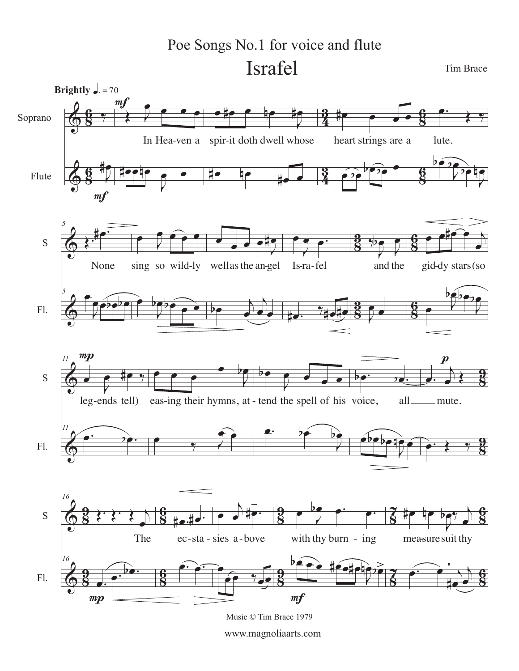Israfel Tim Brace Poe Songs No.1 for voice and flute

 $\bm{\bm{\phi}}$  $\bm{\bm{\phi}}$ **8** <u>գ</u> **8** <u>գ</u>  $\frac{3}{4}$ <u>ភូ</u>  $\frac{3}{4}$ <u> <br>3</u> **8** <u>գ</u> **8** <u>գ</u> Soprano Flute  $\frac{1}{\gamma}$ J **#e Brightly**  $\sqrt{ }$  = 70  $m$ f  $\begin{array}{c} \begin{array}{c} \bullet \\ \bullet \end{array} \end{array}$ <u>e</u> In Hea-ven a spir-it doth dwell whose #œœnœ J œ œ mf e#e e de #e #œ #<mark>æ #e</mark> #<mark>@ @ @ @</mark> heart strings are a  $\widehat{\bullet}$  $\sqrt{2\cdot^2}$  $\begin{array}{c} \bullet \cdot \\ \bullet \end{array}$ lute.  $\overline{b}$ J bete ir<br>12  $\bm{\bm{\phi}}$  $\bm{\overline{\Phi}}$ **88** <u><br>Զ</u> **28**<br>28 <u><br>Զ</u> **8** <u><br>8</u> **8** <u>գ</u> S Fl. *5* Œ. #œ. None *5* œ J œœbœbœ  $\overline{\phantom{a}}$  $\theta$   $\theta$ sing so wild-ly wellas the an-gel Is-ra-fel and the gidœ J  $\theta$ œ  $\frac{e}{e}$   $\frac{e}{e}$ #œ  $\overrightarrow{p}$ œ  $\overline{A}$ è, œ J  $\overline{\mathbf{e}}$ Isra fel  $\frac{1}{4}$ e.  $\frac{1}{4}$ e#e  $\overline{\mathcal{C}}$ J  $\frac{1}{2}$ e<br>C and the J  $\overline{r}$  $e^{\frac{1}{2}x}$ œ gid dy stars(so  $\overline{\phantom{a}}$  $\mathbb{R}$ J  $^{\circ}$  $\Phi$  $\bm{\overline{\varphi}}$ **8**<br>8 <u>ց</u> **98** <u>ց</u> S Fl. *11*  $\overrightarrow{ }$  $e$  # $e$  % leg ends tell) *11*  $\overrightarrow{e}$  $\boldsymbol{m}{\boldsymbol{p}}$  $\overline{\mathcal{C}$ œ J  $\overline{P}$ ends tell) eas-ing their hymns, at - tend the spell of his voice, all œ  $\frac{1}{\gamma}$  $\mathbf{\hat{e}}$  $\overline{P}$ J  $\frac{1}{2}$  $e.$  be J bœ  $b$ e. be. eboboto ne<br>196  $\begin{array}{c} \begin{array}{c} \begin{array}{c} \end{array} \end{array}$  $\frac{1}{2}$ mute.  $\bullet$   $\bullet$   $\bullet$ p  $\Phi$  $\bigcirc$ <u>a</u><br>8 <u>ց</u> <u>a</u><br>8 <u>ቃ</u> **8**<br>8 <u>գ</u> **8** <u>գ</u> <u>a</u><br>8 <u>ց</u> <u>a</u><br>8 <u>ቃ</u> **S** 7 **S** 7 **8**<br>8 <u>գ</u> **8**<br>8 <u>գ</u> S Fl. *16*  $\overline{\{\cdot\} \cdot \cdot \cdot}$ œ The *16*  $\begin{array}{c} \begin{array}{|c|c|} \hline \textbf{r} & \textbf{r} \end{array} \end{array}$  $mp$ #e.#e ec-sta - sies a-bove  $\widehat{\mathbb{P}}$  $\overrightarrow{ }$  $\frac{1}{2}$  œ  $e^e$  %  $\rightarrow$  $\frac{1}{2}$   $\rho$   $\frac{1}{2}$ . -sta - sies a - bove with thy burn - ing measured bece #ee#e#e  $\frac{1}{2}$  $m f$ #œ nœ J  $\frac{1}{2}$ œ measuresuit thy  $\overbrace{\hspace{2.5cm}}^{\bullet\bullet}$ **#e** j œ  $\geq$   $\qquad$   $\qquad$ 

Music © Tim Brace 1979

www.magnoliaarts.com